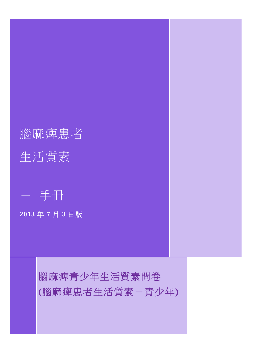# 腦麻痺患者 生活質素

- 手冊

**2013** 年 **7** 月 **3** 日版

腦麻痺青少年生活質素問卷 **(**腦麻痺患者生活質素-青少年**)**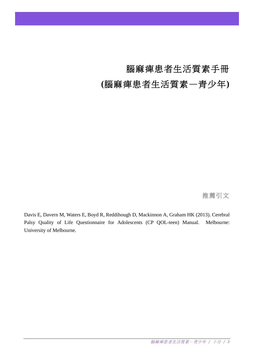# 腦麻痺患者生活質素手冊 **(**腦麻痺患者生活質素—青少年**)**

推薦引文

Davis E, Davern M, Waters E, Boyd R, Reddihough D, Mackinnon A, Graham HK (2013). Cerebral Palsy Quality of Life Questionnaire for Adolescents (CP QOL-teen) Manual. Melbourne: University of Melbourne.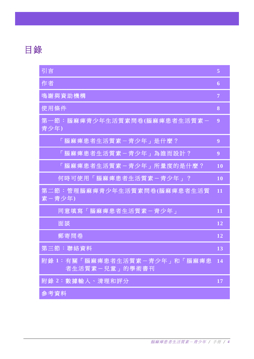目錄

| 引言                                                 | 5              |
|----------------------------------------------------|----------------|
| 作者                                                 | 6              |
| 鳴謝與資助機構                                            | $\overline{7}$ |
| 使用條件                                               | 8              |
| 第一節:腦麻痺青少年生活質素問卷(腦麻痺患者生活質素-<br>青少年)                | $\overline{9}$ |
| 「腦麻痺患者生活質素-青少年」是什麼?                                | 9              |
| 「腦麻痺患者生活質素-青少年」為誰而設計?                              | 9              |
| 「腦麻痺患者生活質素-青少年」所量度的是什麼?                            | 10             |
| 何時可使用「腦麻痺患者生活質素-青少年」?                              | 10             |
| 第二節:管理腦麻痺青少年生活質素問卷(腦麻痺患者生活質<br>素-青少年)              | 11             |
| 同意填寫「腦麻痺患者生活質素-青少年」                                | 11             |
| 面談                                                 | 12             |
| 郵寄問卷                                               | 12             |
| 第三節:聯絡資料                                           | 13             |
| 附錄 1: 有關「腦麻痺患者生活質素一青少年」和「腦麻痺患 14<br>者生活質素-兒童」的學術書刊 |                |
| 附錄 2:數據輸入、清理和評分                                    | 17             |
| 参考資料                                               |                |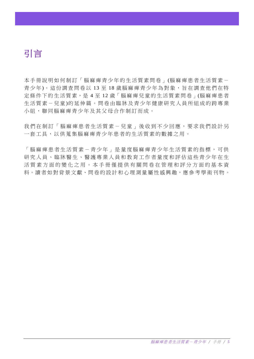# 引言

本手冊說明如何制訂「腦麻痺青少年的生活質素問卷」(腦麻痺患者生活質素-青少年)。這份調查問卷以13至18歲腦麻痺青少年為對象,旨在調查他們在特 定條件下的生活質素,是4至12歲「腦麻痺兒童的生活質素問卷」(腦麻痺患者 生 活 質 素- 兒 童 )的延伸篇 。問 卷 由 臨 牀 及 青 少年 健 康 研 究 人 員 所組成的 跨 專 業 小組, 聯同腦麻痺青少年及其父母合作制訂而成。

我們在制訂「腦麻痺患者生活質素-兒童」後收到不少回應,要求我們設計另 一套 工 具, 以 供蒐 集腦 麻 痺青 少 年患 者的 生 活質 素 的數 據之 用 。

「 腦 麻 痺 患 者 生 活 質 素 - 青 少 年 」 是 量 度 腦 麻 痺 青 少 年 生 活 質 素 的 指 標 , 可 供 研究人員、臨牀醫生、醫護專業人員和教育工作者量度和評估這些書少年在生 活質素 方 面 的變化 之 用 。 本 手 冊 僅 提 供 有 關 問 卷 在 管 理 和 評 分 方 面 的 基 本 資 料。讀者如對背景文獻、問卷的設計和心理測量屬性感興趣,應參考學術刊物。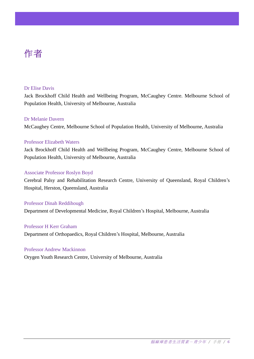# 作者

#### Dr Elise Davis

Jack Brockhoff Child Health and Wellbeing Program, McCaughey Centre. Melbourne School of Population Health, University of Melbourne, Australia

#### Dr Melanie Davern

McCaughey Centre, Melbourne School of Population Health, University of Melbourne, Australia

#### Professor Elizabeth Waters

Jack Brockhoff Child Health and Wellbeing Program, McCaughey Centre, Melbourne School of Population Health, University of Melbourne, Australia

#### Associate Professor Roslyn Boyd

Cerebral Palsy and Rehabilitation Research Centre, University of Queensland, Royal Children's Hospital, Herston, Queensland, Australia

#### Professor Dinah Reddihough

Department of Developmental Medicine, Royal Children's Hospital, Melbourne, Australia

#### Professor H Kerr Graham

Department of Orthopaedics, Royal Children's Hospital, Melbourne, Australia

#### Professor Andrew Mackinnon

Orygen Youth Research Centre, University of Melbourne, Australia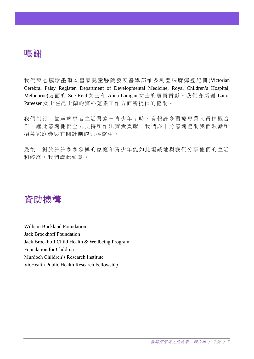

我們衷心感謝墨爾本皇家兒童醫院發展醫學部維多利亞腦麻痺登記冊(Victorian Cerebral Palsy Register, Department of Developmental Medicine, Royal Children's Hospital, Melbourne)方 面 的 Sue Reid 女士 和 Anna Lanigan 女 士的 寶 貴貢 獻。 我 們 亦 感 謝 Laura Pareezer 女 十 在 昆 十 蘭 的 資 料 蒐 集 工 作 方 面 所 提 供 的 協 助 。

我們制訂「腦麻痺患者生活質素-青少年」時,有賴許多醫療專業人員積極合 作, 謹 此 感謝 他 們 全 力 支 持 和 作 出 寶 貴 貢 獻 。 我 們 亦 十 分 感 謝 協 助 我 們 鼓 勵 和 招募家庭參與有關計劃的兒科醫生。

最後,對於許許多多參與的家庭和青少年能如此坦誠地與我們分享他們的生活 和經歷,我們謹此致意。



William Buckland Foundation Jack Brockhoff Foundation Jack Brockhoff Child Health & Wellbeing Program Foundation for Children Murdoch Children's Research Institute VicHealth Public Health Research Fellowship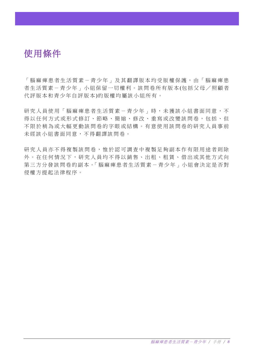## 使用條件

「 腦 麻 痺 患 者 生 活 質 素 - 青 少 年 」 及 其 翻 譯 版本均 受 版 權 保 護 , 由 「 腦 麻 痺 患 者生活質素-青少年」小組保留一切權利。該問卷所有版本(包括父母/照顧者 代評版本和青少年自評版本)的版權均屬該小組所有。

研究人員使用「腦麻痺患者生活質素-青少年」時,未獲該小組書面同意,不 得以任何方式或形式修訂、節略、簡縮、修改、重寫或改變該問卷,包括、但 不限於稍 為 或 大 幅 更 動 該 問 卷 的 字 眼 或 結 構 。 有 意 使 用 該 問 卷 的 研 究 人 員 事 前 未經該 小組 書 面 同 意, 不 得 翻 譯 該 問 卷。

研究人員亦不得複製該問卷,惟於認可調査中複製足夠副本作有限用途者則除 外。在任何情況下,研究人員均不得以銷售、出租、租賃、借出或其他方式向 第三方分發該問卷的副本。「腦麻痺患者生活質素-青少年」小組會決定是否對 侵權 方 提起 法 律 程 序。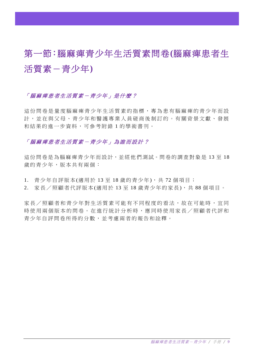# 第一節:腦麻痺青少年生活質素問卷**(**腦麻痺患者生 活質素-青少年**)**

#### 「 腦 麻 痺 患 者生 活質 素 - 青 少 年」 是什 麼 ?

這 份 問卷是量 度 腦 麻 痺 青 少 年 生 活 質 素 的 指 標 , 專 為 患 有 腦 麻 痺 的 青少年 而 設 計 , 並 在 與 父 母 、 青 少 年 和 醫 護 專 業 人 員 磋 商 後 制 訂 的 。 有 關 背 景 文 獻 、 發 展 和結果的進一步資料,可參考附錄1的學術書刊。

#### 「 腦 麻 痺 患 者生 活質 素 - 青 少 年」 為誰 而 設計?

這份問卷是為腦麻痺青少年而設計,並經他們測試。問卷的調査對象是13至18 歲的 青 少年 , 版本 共有兩個:

1. 青少年自評版本(適用於 13 至 18 歳的青少年), 共 72 個項目;

2. 家長 / 照顧 者 代評 版本 (適用 於 13 至 18 歲 青 少年 的 家長 ), 共 88 個 項目 。

家長 / 照顧者和青少年對生活質素可能有不同程度的看法, 故在可能時, 宜同 時使用兩個版本的問卷。在進行統計分析時,應同時使用家長/照顧者代評和 青少年自評問卷所得的分數,並考慮兩者的報告和詮釋。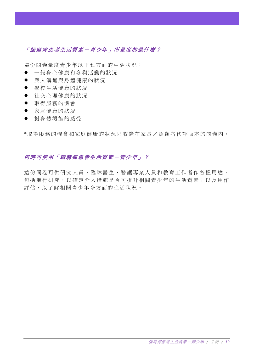#### 「腦麻痺患者生活質素-青少年」所量度的是什麼?

這份問卷量度青少年以下七方面的生活狀況:

- 一般身心健康和參與活動的狀況
- ⚫ 與人 溝 通與 身 體健 康的狀況
- 學校生活健康的狀況
- 社交心理健康的狀況
- 取得服務的機會
- 家庭健康的狀況
- ⚫ 對身 體 機能 的 感受

\*取 得服 務 的機 會 和 家庭 健 康 的狀況只 收錄 在 家長 / 照顧 者代 評 版本 的 問卷 內。

#### 何時 可使用「腦麻痺患者生活質素-青少年」?

這份問卷可供研究人員、臨牀醫生、醫護專業人員和教育工作者作各種用途, 包括進行研究,以確定介入措施是否可提升相關青少年的生活質素;以及用作 評估 , 以了 解 相關 青少 年 多方面的生 活狀 況 。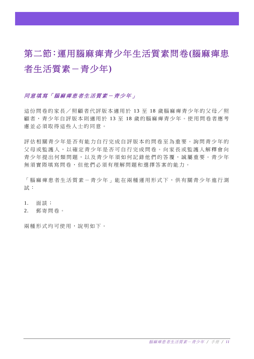# 第二節:運用腦麻痺青少年生活質素問卷**(**腦麻痺患 者生活質素-青少年**)**

#### 同意填寫 「 腦麻 痺患 者 生 活 質 素- 青少 年 」

這份問券的家長/照顧者代評版本適用於 13 至 18 歳腦麻痺青少年的父母/照 顧者, 青少年自評版本則適用於 13 至 18 歲的腦麻痺青少年。使用問卷者應考 慮並 必 須取 得 這些 人士 的 同意 。

評估相關青少年是否有能力自行完成自評版本的問卷至為重要。詢問青少年的 父母或監護人 , 以 確定青少年是否可 自行完成 問 卷 。 向 家 長 或 監 護 人 解 釋 會 向 青少年提出 何 類 問 題 , 以 及 青 少 年 須 如何記錄他們的答覆 ,誠屬 重 要 。 青 少 年 無須實際填寫問卷,但他們必須有理解問題和選擇答案的能力。

「 腦 麻 痺 患 者 生 活 質 素 - 青 少 年 」 能 在 兩 種 運 用 形 式 下 , 供 有 關 青 少 年 進 行 測 試:

1. 面談 ;

2. 郵寄 問 卷。

兩種形式均可使用,說明如下。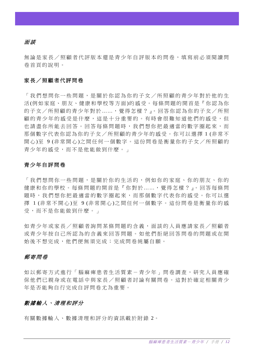#### 面談

無論是家長/照顧者代評版本還是青少年自評版本的問卷,填寫前必須閱讀問 卷首 頁 的說明。

#### 家長/照顧者代評問卷

「 我 們 想 問 你 一 些 問 題 , 是 關 於 你 認 為 你 的 子 女 / 所 照 顧 的 青 少 年 對 於 他 的 生 活(例如家庭、朋友、健康和學校等方面)的感受。每條問題的開首是『你認為你 的子女/所照顧的青少年對於……, 覺得怎樣?」。 回答你認為你的子女/所照 顧的青少年的感受是什麼,這是十分重要的。有時會很難知道他們的感受,但 也 請 盡 你 所 能 去 回 答 。 回 答 每 條 問 題 時 , 我 們 想 你 把 最 適 當 的 數 字 圈起來 , 而 那個數字代表你認為你的子女/所照顧的青少年的感受。你可以選擇1(非常不 開心)至 9 (非常開心)之間任何一個數字。這份問卷是衡量你的子女/所照顧的 青少年的感受,而不是他能做到什麼。」

#### 青少年自評問卷

「 我 們 想 問 你 一 些 問 題 , 是 關 於 你 的 生 活 的 , 例 如 你 的 家 庭 、 你 的 朋 友 、 你 的 健康和你的學校。每條問題的開首是『你對於……,覺得怎樣?』。回答每條問 題時,我們想你把最適當的數字圈起來,而那個數字代表你的感受。你可以選 擇 1 (非常不開心)至 9 (非常開心)之間任何一個數字。這份問卷是衡量你的感 受,而不是你能做到什麼。」

如青少年或家長/照顧者詢問某條問題的含義,面談的人員應請家長/照顧者 或青少年按自己所認為的含義來回答問題。如他們拒絕回答問卷的問題或在開 始後不想完成,他們便無須完成;完成問卷純屬自願。

#### 郵寄問卷

如以郵寄方式進行「腦麻痺患者生活質素-青少年」問卷調查,研究人員應確 保他們已親身或在電話中與家長/照顧者討論有關問卷。這對於確定相關青少 年是 否 能夠 自 行完 成自 評 問卷 尤 為重 要。

#### **數 據 輸 入 、 清 理 和 評 分**

有關數據輸入、數據清理和評分的資訊載於附錄 2。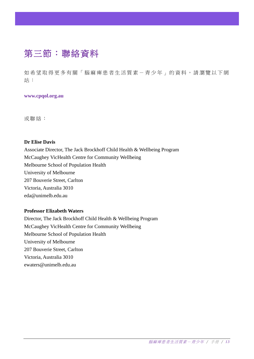## 第三節:聯絡資料

如希望取得更多有關「腦麻痺患者生活質素-青少年」的資料,請瀏覽以下網 站:

#### **[www.cpqol.org.au](http://www.cpqol.org.au/)**

或 聯 絡 :

#### **Dr Elise Davis**

Associate Director, The Jack Brockhoff Child Health & Wellbeing Program McCaughey VicHealth Centre for Community Wellbeing Melbourne School of Population Health University of Melbourne 207 Bouverie Street, Carlton Victoria, Australia 3010 [eda@unimelb.edu.au](mailto:eda@unimelb.edu.au)

#### **Professor Elizabeth Waters**

Director, The Jack Brockhoff Child Health & Wellbeing Program McCaughey VicHealth Centre for Community Wellbeing Melbourne School of Population Health University of Melbourne 207 Bouverie Street, Carlton Victoria, Australia 3010 ewaters@unimelb.edu.au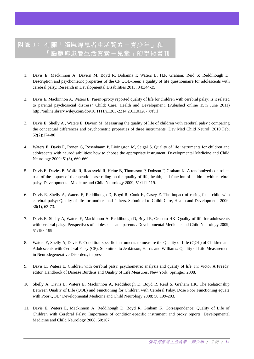### 附錄 **1**: 有關「腦麻痺患者生活質素-青少年」和 「腦麻痺患者生活質素-兒童」的學術書刊

- 1. Davis E; Mackinnon A; Davern M; Boyd R; Bohanna I; Waters E; H.K Graham; Reid S; Reddihough D. Description and psychometric properties of the CP QOL-Teen: a quality of life questionnaire for adolescents with cerebral palsy. Research in Developmental Disabilities 2013; 34:344-35
- 2. Davis E, Mackinnon A, Waters E. Parent-proxy reported quality of life for children with cerebral palsy: Is it related to parental psychosocial distress? Child: Care, Health and Development. (Pubished online 15th June 2011) <http://onlinelibrary.wiley.com/doi/10.1111/j.1365-2214.2011.01267.x/full>
- 3. Davis E, Shelly A , Waters E, Davern M: Measuring the quality of life of children with cerebral palsy : comparing the conceptual differences and psychometric properties of three instruments. Dev Med Child Neurol; 2010 Feb; 52(2):174-80
- 4. Waters E, Davis E, Ronen G, Rosenbaum P, Livingston M, Saigal S. Quality of life instruments for children and adolescents with neurodisabilities: how to choose the appropriate instrument. Developmental Medicine and Child Neurology 2009; 51(8), 660-669.
- 5. Davis E, Davies B, Wolfe R, Raadsveld R, Heine B, Thomason P, Dobson F, Graham K. A randomized controlled trial of the impact of therapeutic horse riding on the quality of life, health, and function of children with cerebral palsy. Developmental Medicine and Child Neurology 2009; 51:111-119.
- 6. Davis E, Shelly A, Waters E, Reddihough D, Boyd R, Cook K, Casey E. The impact of caring for a child with cerebral palsy: Quality of life for mothers and fathers. Submitted to Child: Care, Health and Development, 2009; 36(1), 63-73.
- 7. Davis E, Shelly A, Waters E, Mackinnon A, Reddihough D, Boyd R, Graham HK. Quality of life for adolescents with cerebral palsy: Perspectives of adolescents and parents . Developmental Medicine and Child Neurology 2009; 51:193-199.
- 8. Waters E, Shelly A, Davis E. Condition-specific instruments to measure the Quality of Life (QOL) of Children and Adolescents with Cerebral Palsy (CP). Submitted to Jenkinson, Harris and Williams: Quality of Life Measurement in Neurodegenerative Disorders, in press.
- 9. Davis E, Waters E. Children with cerebral palsy, psychometric analysis and quality of life. In: Victor A Preedy, editor. Handbook of Disease Burdens and Quality of Life Measures. New York: Springer; 2008.
- 10. Shelly A, Davis E, Waters E, Mackinnon A, Reddihough D, Boyd R, Reid S, Graham HK. The Relationship Between Quality of Life (QOL) and Functioning for Children with Cerebral Palsy. Dose Poor Functioning equate with Poor QOL? Developmental Medicine and Child Neurology 2008; 50:199-203.
- 11. Davis E, Waters E, Mackinnon A, Reddihough D, Boyd R, Graham K. Correspondence: Quality of Life of Children with Cerebral Palsy: Importance of condition-specific instrument and proxy reports. Developmental Medicine and Child Neurology 2008; 50:167.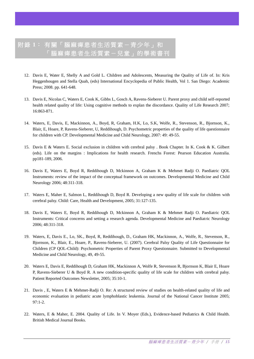### 附錄 **1**: 有關「腦麻痺患者生活質素-青少年」和 「腦麻痺患者生活質素-兒童」的學術書刊

- 12. Davis E, Water E, Shelly A and Gold L. Children and Adolescents, Measuring the Quality of Life of. In: Kris Heggenhougen and Stella Quah, (eds) International Encyclopedia of Public Health, Vol 1. San Diego: Academic Press; 2008. pp. 641-648.
- 13. Davis E, Nicolas C, Waters E, Cook K, Gibbs L, Gosch A, Ravens-Sieberer U. Parent proxy and child self-reported health related quality of life: Using cognitive methods to explan the discordance. Quality of Life Research 2007; 16:863-871.
- 14. Waters, E, Davis, E, Mackinnon, A., Boyd, R, Graham, H.K, Lo, S.K, Wolfe, R., Stevenson, R., Bjornson, K., Blair, E, Hoare, P, Ravens-Sieberer, U, Reddihough, D. Psychometric properties of the quality of life questionnaire for children with CP. Developmental Medicine and Child Neurology, 2007: 49: 49-55.
- 15. Davis E & Waters E. Social exclusion in children with cerebral palsy . Book Chapter. In K. Cook & K. Gilbert (eds). Life on the margins : Implications for health research. Frenchs Forest: Pearson Education Australia. pp181-189, 2006.
- 16. Davis E, Waters E, Boyd R, Reddihough D, Mckinnon A, Graham K & Mehmet Radji O. Paediatric QOL Instruments: review of the impact of the conceptual framework on outcomes. Developmental Medicine and Child Neurology 2006; 48:311-318.
- 17. Waters E, Maher E, Salmon L, Reddihough D, Boyd R. Developing a new quality of life scale for children with cerebral palsy. Child: Care, Health and Development, 2005; 31:127-135.
- 18. Davis E, Waters E, Boyd R, Reddihough D, Mckinnon A, Graham K & Mehmet Radji O. Paediatric QOL Instruments: Critical concerns and setting a research agenda. Developmental Medicine and Paediatric Neurology 2006; 48:311-318.
- 19. Waters, E, Davis E., Lo, SK., Boyd, R, Reddihough, D., Graham HK, Mackinnon, A., Wolfe, R., Stevenson, R., Bjornson, K., Blair, E., Hoare, P., Ravens-Sieberer, U. (2007). Cerebral Palsy Quality of Life Questionnaire for Children (CP QOL-Child): Psychometric Properties of Parent Proxy Questionnaire. Submitted to Developmental Medicine and Child Neurology, 49, 49-55.
- 20. Waters E, Davis E, Reddihough D, Graham HK, Mackinnon A, Wolfe R, Stevenson R, Bjornson K, Blair E, Hoare P, Ravens-Sieberer U & Boyd R. A new condition-specific quality of life scale for children with cerebral palsy. Patient Reported Outcomes Newsletter, 2005; 35:10-1.
- 21. Davis , E, Waters E & Mehmet-Radji O. Re: A structured review of studies on health-related quality of life and economic evaluation in pediatric acute lymphoblastic leukemia. Journal of the National Cancer Institute 2005; 97:1-2.
- 22. Waters, E & Maher, E. 2004. Quality of Life. In V. Moyer (Eds.), Evidence-based Pediatrics & Child Health. British Medical Journal Books.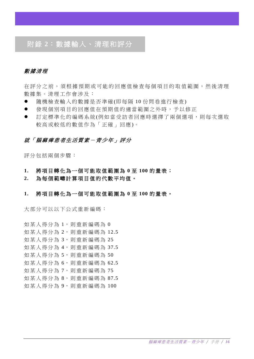### 附錄 **2**:數據輸入、清理和評分

#### 數據清理

在評分之前, 須根據預期或可能的回應值檢查每個項目的取值範圍, 然後清理 數據 集 。清 理 工作 會涉 及 :

- ⚫ 隨機 檢 查輸 入 的數 據是 否 準確 (即每 隔 10 份問 卷 進行 檢 查)
- 發現個別項目的回應值在預期值的適當範圍之外時,予以修正
- 訂定標準化的編碼系統(例如當受訪者回應時選擇了兩個選項,則每次選取 較高或較低的數值作為「正確」回應)。

#### 就「腦麻痺患者生活質素-青少年」評分

評分包括兩個步驟:

#### **1.** 將 項 目 轉 化 為一 個 可 能 取 值 範 圍 為 **0** 至 **100** 的量表;

2. 為每個範疇計算項目值的代數平均值。

#### **1.** 將 項 目 轉 化 為一 個 可 能 取 值 範 圍 為 **0** 至 **100** 的量表。

大部分可以以下公式重新编碼:

如某人得分為1,則重新編碼為0 如某人得分為 2, 則重新編碼為 12.5 如某人得分為 3, 則重新編碼為 25 如某人得分為4,則重新編碼為37.5 如某人得分為 5, 則重新編碼為 50 如某人得分為6,則重新編碼為62.5 如某人得分為 7, 則重新編碼為 75 如某人得分為8,則重新編碼為87.5 如某人得分為9,則重新編碼為100